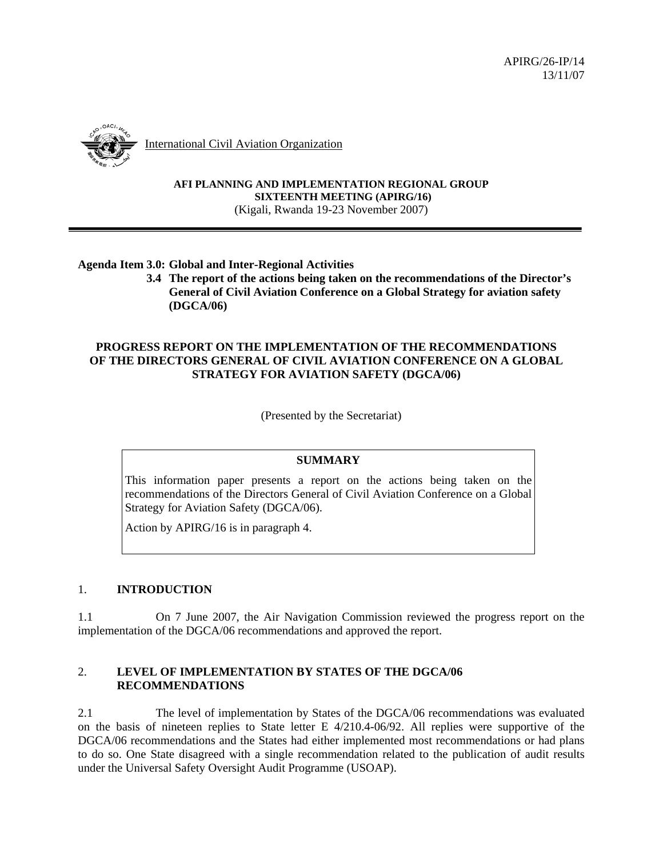

International Civil Aviation Organization

#### **AFI PLANNING AND IMPLEMENTATION REGIONAL GROUP SIXTEENTH MEETING (APIRG/16)**  (Kigali, Rwanda 19-23 November 2007)

# **Agenda Item 3.0: Global and Inter-Regional Activities**

 **3.4 The report of the actions being taken on the recommendations of the Director's General of Civil Aviation Conference on a Global Strategy for aviation safety (DGCA/06)** 

# **PROGRESS REPORT ON THE IMPLEMENTATION OF THE RECOMMENDATIONS OF THE DIRECTORS GENERAL OF CIVIL AVIATION CONFERENCE ON A GLOBAL STRATEGY FOR AVIATION SAFETY (DGCA/06)**

(Presented by the Secretariat)

## **SUMMARY**

This information paper presents a report on the actions being taken on the recommendations of the Directors General of Civil Aviation Conference on a Global Strategy for Aviation Safety (DGCA/06).

Action by APIRG/16 is in paragraph 4.

## 1. **INTRODUCTION**

1.1 On 7 June 2007, the Air Navigation Commission reviewed the progress report on the implementation of the DGCA/06 recommendations and approved the report.

### 2. **LEVEL OF IMPLEMENTATION BY STATES OF THE DGCA/06 RECOMMENDATIONS**

2.1 The level of implementation by States of the DGCA/06 recommendations was evaluated on the basis of nineteen replies to State letter E 4/210.4-06/92. All replies were supportive of the DGCA/06 recommendations and the States had either implemented most recommendations or had plans to do so. One State disagreed with a single recommendation related to the publication of audit results under the Universal Safety Oversight Audit Programme (USOAP).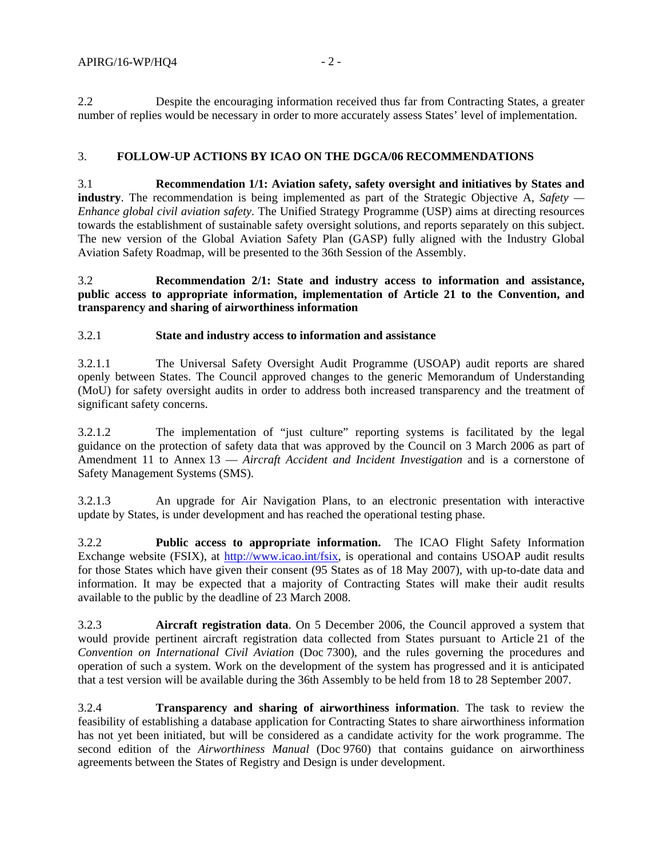2.2 Despite the encouraging information received thus far from Contracting States, a greater number of replies would be necessary in order to more accurately assess States' level of implementation.

### 3. **FOLLOW-UP ACTIONS BY ICAO ON THE DGCA/06 RECOMMENDATIONS**

3.1 **Recommendation 1/1: Aviation safety, safety oversight and initiatives by States and industry**. The recommendation is being implemented as part of the Strategic Objective A, *Safety — Enhance global civil aviation safety*. The Unified Strategy Programme (USP) aims at directing resources towards the establishment of sustainable safety oversight solutions, and reports separately on this subject. The new version of the Global Aviation Safety Plan (GASP) fully aligned with the Industry Global Aviation Safety Roadmap, will be presented to the 36th Session of the Assembly.

3.2 **Recommendation 2/1: State and industry access to information and assistance, public access to appropriate information, implementation of Article 21 to the Convention, and transparency and sharing of airworthiness information** 

#### 3.2.1 **State and industry access to information and assistance**

3.2.1.1 The Universal Safety Oversight Audit Programme (USOAP) audit reports are shared openly between States. The Council approved changes to the generic Memorandum of Understanding (MoU) for safety oversight audits in order to address both increased transparency and the treatment of significant safety concerns.

3.2.1.2 The implementation of "just culture" reporting systems is facilitated by the legal guidance on the protection of safety data that was approved by the Council on 3 March 2006 as part of Amendment 11 to Annex 13 — *Aircraft Accident and Incident Investigation* and is a cornerstone of Safety Management Systems (SMS).

3.2.1.3 An upgrade for Air Navigation Plans, to an electronic presentation with interactive update by States, is under development and has reached the operational testing phase.

3.2.2 **Public access to appropriate information.** The ICAO Flight Safety Information Exchange website (FSIX), at http://www.icao.int/fsix, is operational and contains USOAP audit results for those States which have given their consent (95 States as of 18 May 2007), with up-to-date data and information. It may be expected that a majority of Contracting States will make their audit results available to the public by the deadline of 23 March 2008.

3.2.3 **Aircraft registration data**. On 5 December 2006, the Council approved a system that would provide pertinent aircraft registration data collected from States pursuant to Article 21 of the *Convention on International Civil Aviation* (Doc 7300), and the rules governing the procedures and operation of such a system. Work on the development of the system has progressed and it is anticipated that a test version will be available during the 36th Assembly to be held from 18 to 28 September 2007.

3.2.4 **Transparency and sharing of airworthiness information**. The task to review the feasibility of establishing a database application for Contracting States to share airworthiness information has not yet been initiated, but will be considered as a candidate activity for the work programme. The second edition of the *Airworthiness Manual* (Doc 9760) that contains guidance on airworthiness agreements between the States of Registry and Design is under development.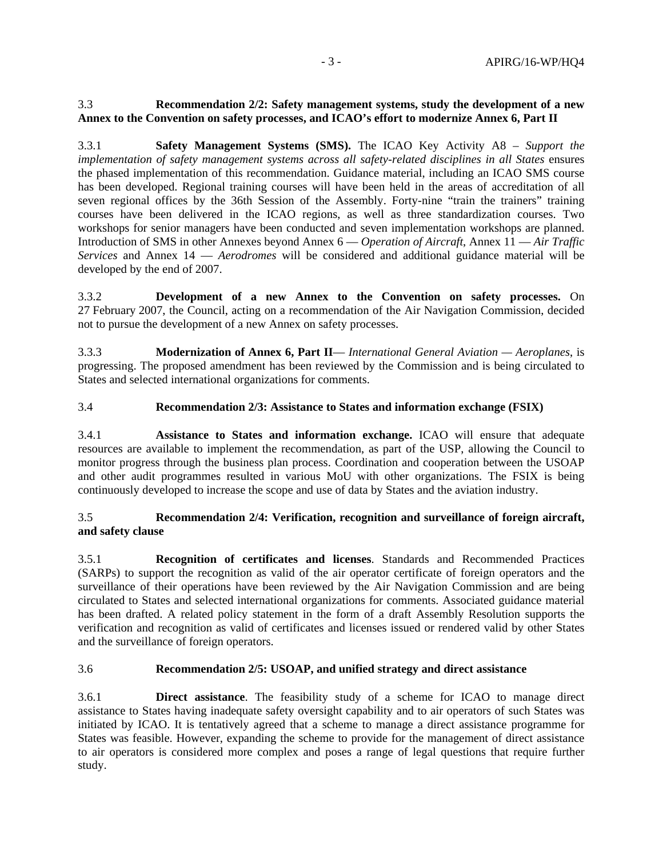## 3.3 **Recommendation 2/2: Safety management systems, study the development of a new Annex to the Convention on safety processes, and ICAO's effort to modernize Annex 6, Part II**

3.3.1 **Safety Management Systems (SMS).** The ICAO Key Activity A8 – *Support the implementation of safety management systems across all safety-related disciplines in all States* ensures the phased implementation of this recommendation. Guidance material, including an ICAO SMS course has been developed. Regional training courses will have been held in the areas of accreditation of all seven regional offices by the 36th Session of the Assembly. Forty-nine "train the trainers" training courses have been delivered in the ICAO regions, as well as three standardization courses. Two workshops for senior managers have been conducted and seven implementation workshops are planned. Introduction of SMS in other Annexes beyond Annex 6 — *Operation of Aircraft*, Annex 11 — *Air Traffic Services* and Annex 14 — *Aerodromes* will be considered and additional guidance material will be developed by the end of 2007.

3.3.2 **Development of a new Annex to the Convention on safety processes.** On 27 February 2007, the Council, acting on a recommendation of the Air Navigation Commission, decided not to pursue the development of a new Annex on safety processes.

3.3.3 **Modernization of Annex 6, Part II**— *International General Aviation — Aeroplanes*, is progressing. The proposed amendment has been reviewed by the Commission and is being circulated to States and selected international organizations for comments.

# 3.4 **Recommendation 2/3: Assistance to States and information exchange (FSIX)**

3.4.1 **Assistance to States and information exchange.** ICAO will ensure that adequate resources are available to implement the recommendation, as part of the USP, allowing the Council to monitor progress through the business plan process. Coordination and cooperation between the USOAP and other audit programmes resulted in various MoU with other organizations. The FSIX is being continuously developed to increase the scope and use of data by States and the aviation industry.

# 3.5 **Recommendation 2/4: Verification, recognition and surveillance of foreign aircraft, and safety clause**

3.5.1 **Recognition of certificates and licenses**. Standards and Recommended Practices (SARPs) to support the recognition as valid of the air operator certificate of foreign operators and the surveillance of their operations have been reviewed by the Air Navigation Commission and are being circulated to States and selected international organizations for comments. Associated guidance material has been drafted. A related policy statement in the form of a draft Assembly Resolution supports the verification and recognition as valid of certificates and licenses issued or rendered valid by other States and the surveillance of foreign operators.

## 3.6 **Recommendation 2/5: USOAP, and unified strategy and direct assistance**

3.6.1 **Direct assistance**. The feasibility study of a scheme for ICAO to manage direct assistance to States having inadequate safety oversight capability and to air operators of such States was initiated by ICAO. It is tentatively agreed that a scheme to manage a direct assistance programme for States was feasible. However, expanding the scheme to provide for the management of direct assistance to air operators is considered more complex and poses a range of legal questions that require further study.